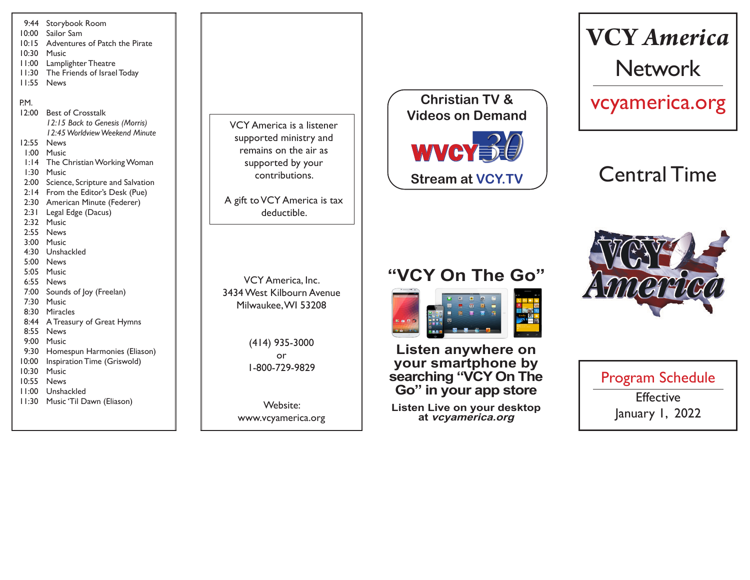

VCY America is a listener supported ministry and remains on the air as supported by your contributions.

A gift to VCY America is tax deductible.

VCY America, Inc. 3434 West Kilbourn Avenue Milwaukee, WI 53208

> (414) 935-3000 or 1-800-729-9829

Website: www.vcyamerica.org



# **VCY** *America* Network

vcyamerica.org

## Central Time

## **"VCY On The Go"**



**Listen anywhere on your smartphone by searching "VCY On The Go" in your app store**

**Listen Live on your desktop at vcyamerica.org**



Program Schedule **Effective** January 1, 2022